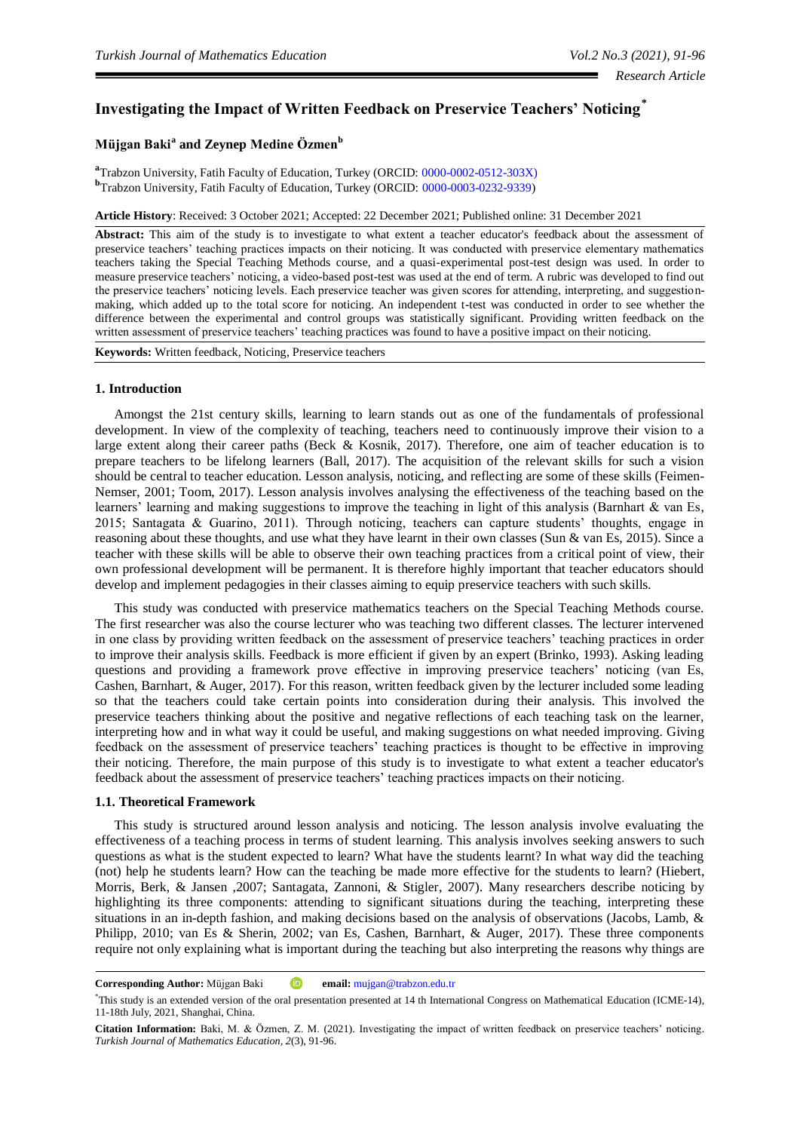# **Investigating the Impact of Written Feedback on Preservice Teachers' Noticing\***

# **Müjgan Baki a and Zeynep Medine Özmen<sup>b</sup>**

**a** Trabzon University, Fatih Faculty of Education, Turkey (ORCID: [0000-0002-0512-303X\)](http://www.orcid.org/0000-0002-0512-303X) **b** Trabzon University, Fatih Faculty of Education, Turkey (ORCID: [0000-0003-0232-9339\)](http://www.orcid.org/0000-0003-0232-9339)

**Article History**: Received: 3 October 2021; Accepted: 22 December 2021; Published online: 31 December 2021

**Abstract:** This aim of the study is to investigate to what extent a teacher educator's feedback about the assessment of preservice teachers' teaching practices impacts on their noticing. It was conducted with preservice elementary mathematics teachers taking the Special Teaching Methods course, and a quasi-experimental post-test design was used. In order to measure preservice teachers' noticing, a video-based post-test was used at the end of term. A rubric was developed to find out the preservice teachers' noticing levels. Each preservice teacher was given scores for attending, interpreting, and suggestionmaking, which added up to the total score for noticing. An independent t-test was conducted in order to see whether the difference between the experimental and control groups was statistically significant. Providing written feedback on the written assessment of preservice teachers' teaching practices was found to have a positive impact on their noticing.

**Keywords:** Written feedback, Noticing, Preservice teachers

## **1. Introduction**

Amongst the 21st century skills, learning to learn stands out as one of the fundamentals of professional development. In view of the complexity of teaching, teachers need to continuously improve their vision to a large extent along their career paths (Beck & Kosnik, 2017). Therefore, one aim of teacher education is to prepare teachers to be lifelong learners (Ball, 2017). The acquisition of the relevant skills for such a vision should be central to teacher education. Lesson analysis, noticing, and reflecting are some of these skills (Feimen-Nemser, 2001; Toom, 2017). Lesson analysis involves analysing the effectiveness of the teaching based on the learners' learning and making suggestions to improve the teaching in light of this analysis (Barnhart & van Es, 2015; Santagata & Guarino, 2011). Through noticing, teachers can capture students' thoughts, engage in reasoning about these thoughts, and use what they have learnt in their own classes (Sun & van Es, 2015). Since a teacher with these skills will be able to observe their own teaching practices from a critical point of view, their own professional development will be permanent. It is therefore highly important that teacher educators should develop and implement pedagogies in their classes aiming to equip preservice teachers with such skills.

This study was conducted with preservice mathematics teachers on the Special Teaching Methods course. The first researcher was also the course lecturer who was teaching two different classes. The lecturer intervened in one class by providing written feedback on the assessment of preservice teachers' teaching practices in order to improve their analysis skills. Feedback is more efficient if given by an expert (Brinko, 1993). Asking leading questions and providing a framework prove effective in improving preservice teachers' noticing (van Es, Cashen, Barnhart, & Auger, 2017). For this reason, written feedback given by the lecturer included some leading so that the teachers could take certain points into consideration during their analysis. This involved the preservice teachers thinking about the positive and negative reflections of each teaching task on the learner, interpreting how and in what way it could be useful, and making suggestions on what needed improving. Giving feedback on the assessment of preservice teachers' teaching practices is thought to be effective in improving their noticing. Therefore, the main purpose of this study is to investigate to what extent a teacher educator's feedback about the assessment of preservice teachers' teaching practices impacts on their noticing.

## **1.1. Theoretical Framework**

This study is structured around lesson analysis and noticing. The lesson analysis involve evaluating the effectiveness of a teaching process in terms of student learning. This analysis involves seeking answers to such questions as what is the student expected to learn? What have the students learnt? In what way did the teaching (not) help he students learn? How can the teaching be made more effective for the students to learn? (Hiebert, Morris, Berk, & Jansen ,2007; Santagata, Zannoni, & Stigler, 2007). Many researchers describe noticing by highlighting its three components: attending to significant situations during the teaching, interpreting these situations in an in-depth fashion, and making decisions based on the analysis of observations (Jacobs, Lamb, & Philipp, 2010; van Es & Sherin, 2002; van Es, Cashen, Barnhart, & Auger, 2017). These three components require not only explaining what is important during the teaching but also interpreting the reasons why things are

**Corresponding Author:** Müjgan Baki **email:** mujgan@trabzon.edu.tr

<sup>\*</sup>This study is an extended version of the oral presentation presented at 14 th International Congress on Mathematical Education (ICME-14), 11-18th July, 2021, Shanghai, China.

**Citation Information:** Baki, M. & Özmen, Z. M. (2021). Investigating the impact of written feedback on preservice teachers' noticing. *Turkish Journal of Mathematics Education, 2*(3), 91-96.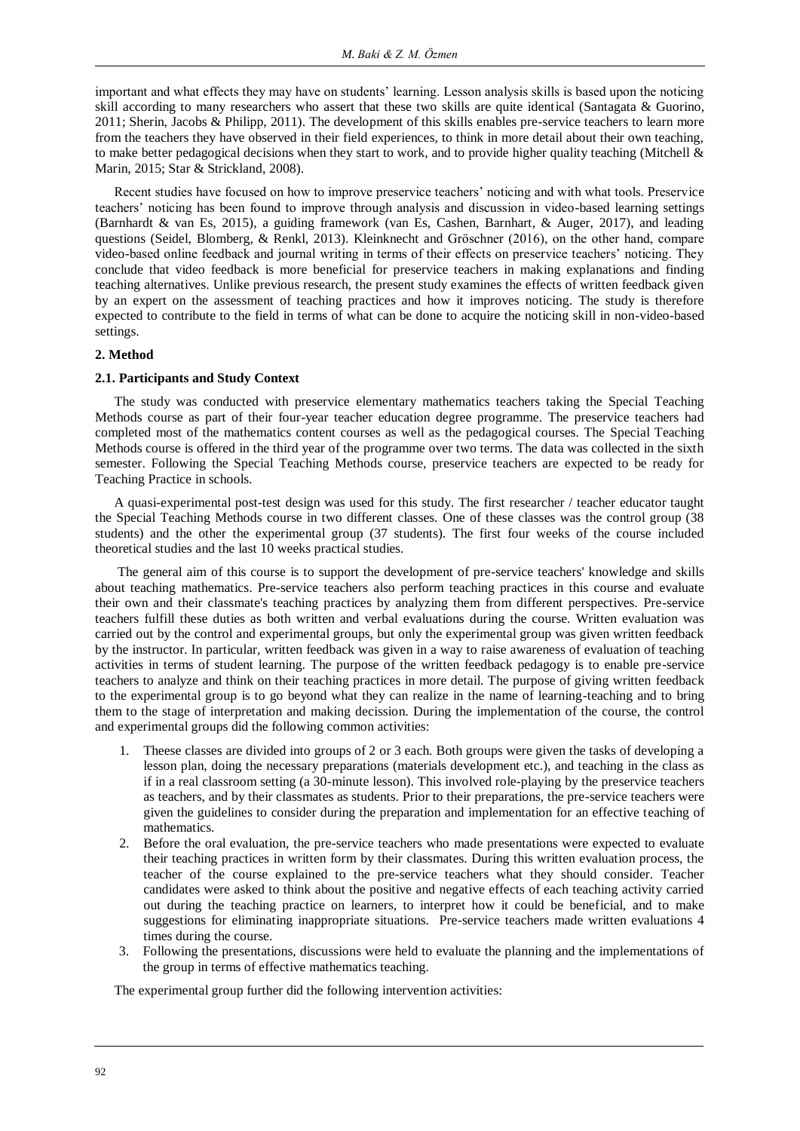important and what effects they may have on students' learning. Lesson analysis skills is based upon the noticing skill according to many researchers who assert that these two skills are quite identical (Santagata & Guorino, 2011; Sherin, Jacobs & Philipp, 2011). The development of this skills enables pre-service teachers to learn more from the teachers they have observed in their field experiences, to think in more detail about their own teaching, to make better pedagogical decisions when they start to work, and to provide higher quality teaching (Mitchell  $\&$ Marin, 2015; Star & Strickland, 2008).

Recent studies have focused on how to improve preservice teachers' noticing and with what tools. Preservice teachers' noticing has been found to improve through analysis and discussion in video-based learning settings (Barnhardt & van Es, 2015), a guiding framework (van Es, Cashen, Barnhart, & Auger, 2017), and leading questions (Seidel, Blomberg, & Renkl, 2013). Kleinknecht and Gröschner (2016), on the other hand, compare video-based online feedback and journal writing in terms of their effects on preservice teachers' noticing. They conclude that video feedback is more beneficial for preservice teachers in making explanations and finding teaching alternatives. Unlike previous research, the present study examines the effects of written feedback given by an expert on the assessment of teaching practices and how it improves noticing. The study is therefore expected to contribute to the field in terms of what can be done to acquire the noticing skill in non-video-based settings.

# **2. Method**

# **2.1. Participants and Study Context**

The study was conducted with preservice elementary mathematics teachers taking the Special Teaching Methods course as part of their four-year teacher education degree programme. The preservice teachers had completed most of the mathematics content courses as well as the pedagogical courses. The Special Teaching Methods course is offered in the third year of the programme over two terms. The data was collected in the sixth semester. Following the Special Teaching Methods course, preservice teachers are expected to be ready for Teaching Practice in schools.

A quasi-experimental post-test design was used for this study. The first researcher / teacher educator taught the Special Teaching Methods course in two different classes. One of these classes was the control group (38 students) and the other the experimental group (37 students). The first four weeks of the course included theoretical studies and the last 10 weeks practical studies.

The general aim of this course is to support the development of pre-service teachers' knowledge and skills about teaching mathematics. Pre-service teachers also perform teaching practices in this course and evaluate their own and their classmate's teaching practices by analyzing them from different perspectives. Pre-service teachers fulfill these duties as both written and verbal evaluations during the course. Written evaluation was carried out by the control and experimental groups, but only the experimental group was given written feedback by the instructor. In particular, written feedback was given in a way to raise awareness of evaluation of teaching activities in terms of student learning. The purpose of the written feedback pedagogy is to enable pre-service teachers to analyze and think on their teaching practices in more detail. The purpose of giving written feedback to the experimental group is to go beyond what they can realize in the name of learning-teaching and to bring them to the stage of interpretation and making decission. During the implementation of the course, the control and experimental groups did the following common activities:

- 1. Theese classes are divided into groups of 2 or 3 each. Both groups were given the tasks of developing a lesson plan, doing the necessary preparations (materials development etc.), and teaching in the class as if in a real classroom setting (a 30-minute lesson). This involved role-playing by the preservice teachers as teachers, and by their classmates as students. Prior to their preparations, the pre-service teachers were given the guidelines to consider during the preparation and implementation for an effective teaching of mathematics.
- 2. Before the oral evaluation, the pre-service teachers who made presentations were expected to evaluate their teaching practices in written form by their classmates. During this written evaluation process, the teacher of the course explained to the pre-service teachers what they should consider. Teacher candidates were asked to think about the positive and negative effects of each teaching activity carried out during the teaching practice on learners, to interpret how it could be beneficial, and to make suggestions for eliminating inappropriate situations. Pre-service teachers made written evaluations 4 times during the course.
- 3. Following the presentations, discussions were held to evaluate the planning and the implementations of the group in terms of effective mathematics teaching.

The experimental group further did the following intervention activities: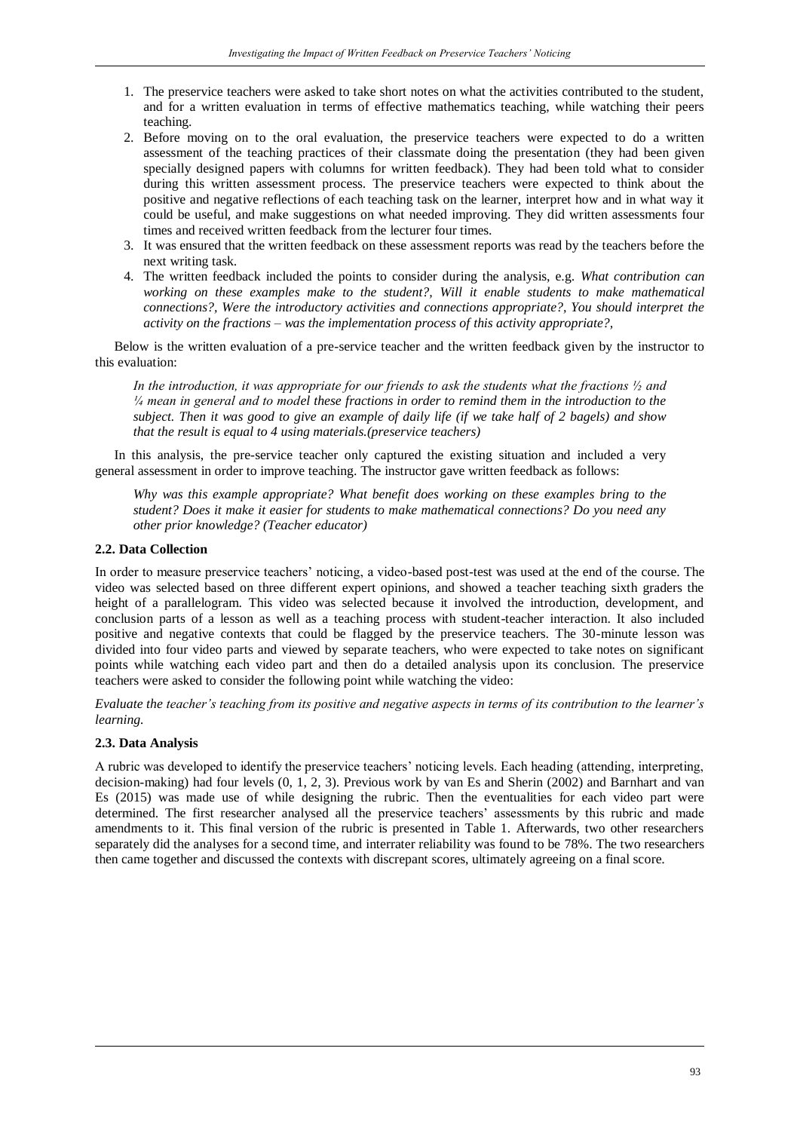- 1. The preservice teachers were asked to take short notes on what the activities contributed to the student, and for a written evaluation in terms of effective mathematics teaching, while watching their peers teaching.
- 2. Before moving on to the oral evaluation, the preservice teachers were expected to do a written assessment of the teaching practices of their classmate doing the presentation (they had been given specially designed papers with columns for written feedback). They had been told what to consider during this written assessment process. The preservice teachers were expected to think about the positive and negative reflections of each teaching task on the learner, interpret how and in what way it could be useful, and make suggestions on what needed improving. They did written assessments four times and received written feedback from the lecturer four times.
- 3. It was ensured that the written feedback on these assessment reports was read by the teachers before the next writing task.
- 4. The written feedback included the points to consider during the analysis, e.g. *What contribution can working on these examples make to the student?, Will it enable students to make mathematical connections?, Were the introductory activities and connections appropriate?, You should interpret the activity on the fractions – was the implementation process of this activity appropriate?,*

Below is the written evaluation of a pre-service teacher and the written feedback given by the instructor to this evaluation:

*In the introduction, it was appropriate for our friends to ask the students what the fractions ½ and ¼ mean in general and to model these fractions in order to remind them in the introduction to the subject. Then it was good to give an example of daily life (if we take half of 2 bagels) and show that the result is equal to 4 using materials.(preservice teachers)*

In this analysis, the pre-service teacher only captured the existing situation and included a very general assessment in order to improve teaching. The instructor gave written feedback as follows:

*Why was this example appropriate? What benefit does working on these examples bring to the student? Does it make it easier for students to make mathematical connections? Do you need any other prior knowledge? (Teacher educator)*

# **2.2. Data Collection**

In order to measure preservice teachers' noticing, a video-based post-test was used at the end of the course. The video was selected based on three different expert opinions, and showed a teacher teaching sixth graders the height of a parallelogram. This video was selected because it involved the introduction, development, and conclusion parts of a lesson as well as a teaching process with student-teacher interaction. It also included positive and negative contexts that could be flagged by the preservice teachers. The 30-minute lesson was divided into four video parts and viewed by separate teachers, who were expected to take notes on significant points while watching each video part and then do a detailed analysis upon its conclusion. The preservice teachers were asked to consider the following point while watching the video:

*Evaluate the teacher's teaching from its positive and negative aspects in terms of its contribution to the learner's learning.* 

# **2.3. Data Analysis**

A rubric was developed to identify the preservice teachers' noticing levels. Each heading (attending, interpreting, decision-making) had four levels (0, 1, 2, 3). Previous work by van Es and Sherin (2002) and Barnhart and van Es (2015) was made use of while designing the rubric. Then the eventualities for each video part were determined. The first researcher analysed all the preservice teachers' assessments by this rubric and made amendments to it. This final version of the rubric is presented in Table 1. Afterwards, two other researchers separately did the analyses for a second time, and interrater reliability was found to be 78%. The two researchers then came together and discussed the contexts with discrepant scores, ultimately agreeing on a final score.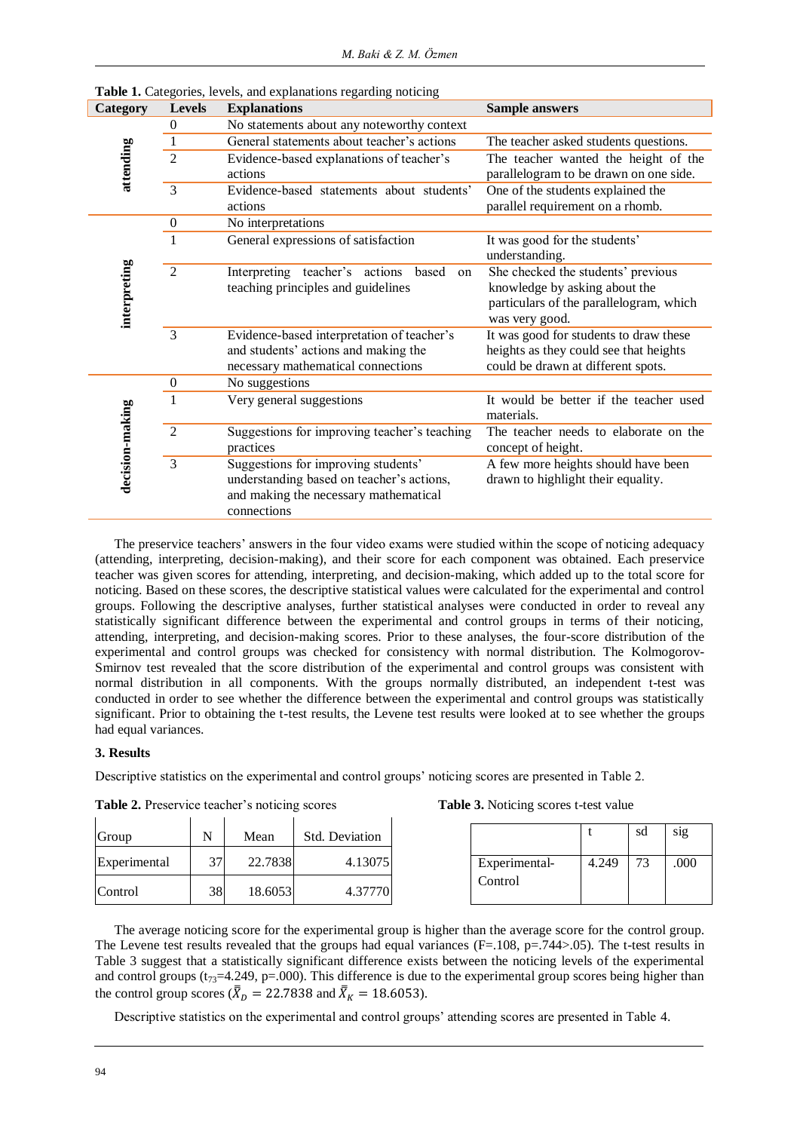| Category        | <b>Levels</b>    | <b>I</b> call, the contract of the complements to garding notional<br><b>Explanations</b>                                | <b>Sample answers</b>                                                                                                            |
|-----------------|------------------|--------------------------------------------------------------------------------------------------------------------------|----------------------------------------------------------------------------------------------------------------------------------|
|                 | $\boldsymbol{0}$ | No statements about any noteworthy context                                                                               |                                                                                                                                  |
|                 | 1                | General statements about teacher's actions                                                                               | The teacher asked students questions.                                                                                            |
| attending       | $\overline{2}$   | Evidence-based explanations of teacher's                                                                                 | The teacher wanted the height of the                                                                                             |
|                 |                  | actions                                                                                                                  | parallelogram to be drawn on one side.                                                                                           |
|                 | $\overline{3}$   | Evidence-based statements about students'                                                                                | One of the students explained the                                                                                                |
|                 |                  | actions                                                                                                                  | parallel requirement on a rhomb.                                                                                                 |
|                 | $\boldsymbol{0}$ | No interpretations                                                                                                       |                                                                                                                                  |
|                 | 1                | General expressions of satisfaction                                                                                      | It was good for the students'<br>understanding.                                                                                  |
| interpreting    | $\overline{2}$   | Interpreting teacher's actions based<br>on<br>teaching principles and guidelines                                         | She checked the students' previous<br>knowledge by asking about the<br>particulars of the parallelogram, which<br>was very good. |
|                 | 3                | Evidence-based interpretation of teacher's<br>and students' actions and making the<br>necessary mathematical connections | It was good for students to draw these<br>heights as they could see that heights<br>could be drawn at different spots.           |
|                 | $\boldsymbol{0}$ | No suggestions                                                                                                           |                                                                                                                                  |
| decision-making | 1                | Very general suggestions                                                                                                 | It would be better if the teacher used<br>materials.                                                                             |
|                 | $\overline{2}$   | Suggestions for improving teacher's teaching<br>practices                                                                | The teacher needs to elaborate on the<br>concept of height.                                                                      |
|                 | $\overline{3}$   | Suggestions for improving students'                                                                                      | A few more heights should have been                                                                                              |
|                 |                  | understanding based on teacher's actions,                                                                                | drawn to highlight their equality.                                                                                               |
|                 |                  | and making the necessary mathematical<br>connections                                                                     |                                                                                                                                  |

**Table 1.** Categories, levels, and explanations regarding noticing

The preservice teachers' answers in the four video exams were studied within the scope of noticing adequacy (attending, interpreting, decision-making), and their score for each component was obtained. Each preservice teacher was given scores for attending, interpreting, and decision-making, which added up to the total score for noticing. Based on these scores, the descriptive statistical values were calculated for the experimental and control groups. Following the descriptive analyses, further statistical analyses were conducted in order to reveal any statistically significant difference between the experimental and control groups in terms of their noticing, attending, interpreting, and decision-making scores. Prior to these analyses, the four-score distribution of the experimental and control groups was checked for consistency with normal distribution. The Kolmogorov-Smirnov test revealed that the score distribution of the experimental and control groups was consistent with normal distribution in all components. With the groups normally distributed, an independent t-test was conducted in order to see whether the difference between the experimental and control groups was statistically significant. Prior to obtaining the t-test results, the Levene test results were looked at to see whether the groups had equal variances.

## **3. Results**

Descriptive statistics on the experimental and control groups' noticing scores are presented in Table 2.

| Group        | N  | Mean    | <b>Std. Deviation</b> |  |  |
|--------------|----|---------|-----------------------|--|--|
| Experimental | 37 | 22.7838 | 4.13075               |  |  |
| Control      | 38 | 18.6053 | 4.37770               |  |  |

**Table 2.** Preservice teacher's noticing scores

| Table 3. Noticing scores t-test value |  |  |  |
|---------------------------------------|--|--|--|
|---------------------------------------|--|--|--|

|               |       | sd | sig  |
|---------------|-------|----|------|
| Experimental- | 4.249 | 73 | .000 |
| Control       |       |    |      |
|               |       |    |      |

The average noticing score for the experimental group is higher than the average score for the control group. The Levene test results revealed that the groups had equal variances  $(F=108, p=.744>.05)$ . The t-test results in Table 3 suggest that a statistically significant difference exists between the noticing levels of the experimental and control groups ( $t_{73}=4.249$ , p=.000). This difference is due to the experimental group scores being higher than the control group scores ( $\bar{X}_D = 22.7838$  and  $\bar{X}_K = 18.6053$ ).

Descriptive statistics on the experimental and control groups' attending scores are presented in Table 4.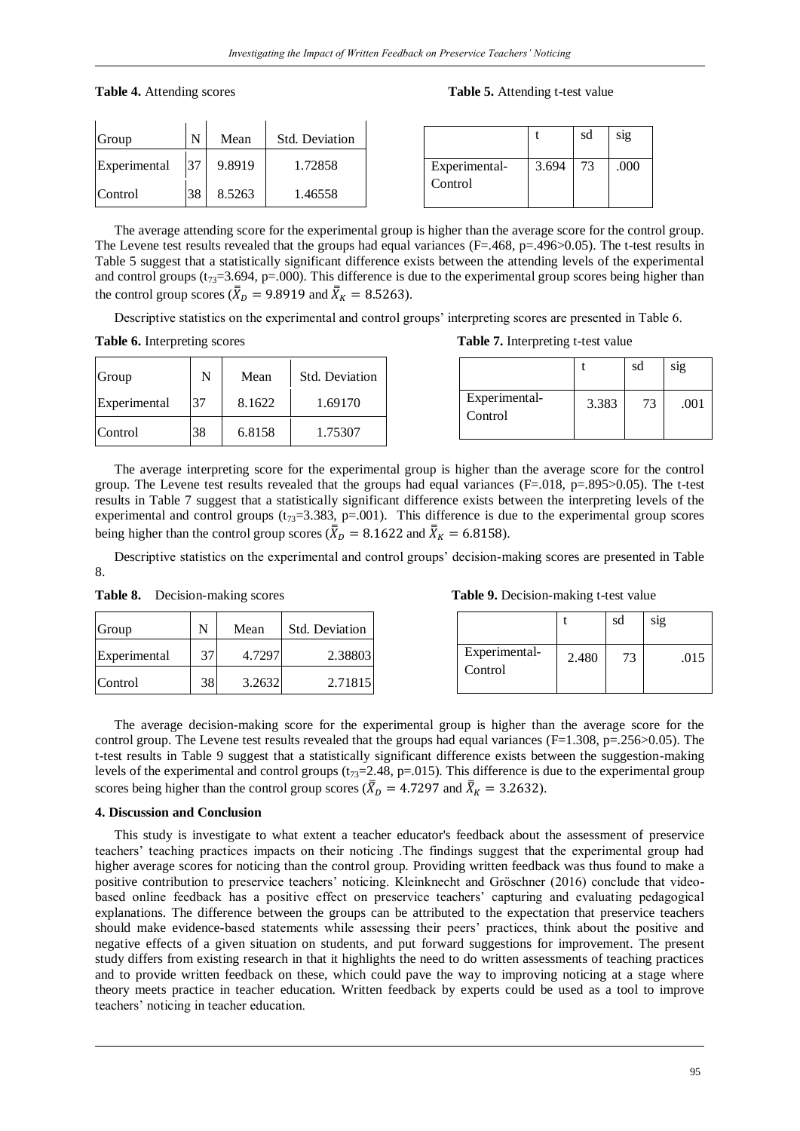| Group        |    | Mean   | Std. Deviation |
|--------------|----|--------|----------------|
| Experimental | 37 | 9.8919 | 1.72858        |
| Control      | 38 | 8.5263 | 1.46558        |

#### **Table 4.** Attending scores **Table 5.** Attending t-test value

|                          |       | sd | sig  |
|--------------------------|-------|----|------|
| Experimental-<br>Control | 3.694 | 73 | .000 |

The average attending score for the experimental group is higher than the average score for the control group. The Levene test results revealed that the groups had equal variances  $(F=468, p=496>0.05)$ . The t-test results in Table 5 suggest that a statistically significant difference exists between the attending levels of the experimental and control groups ( $t_{73}=3.694$ , p=.000). This difference is due to the experimental group scores being higher than the control group scores ( $\bar{X}_D = 9.8919$  and  $\bar{X}_K = 8.5263$ ).

Descriptive statistics on the experimental and control groups' interpreting scores are presented in Table 6.

**Table 6.** Interpreting scores **Table 7.** Interpreting t-test value

| Group        |    | Mean   | Std. Deviation |                          |       | sd | <sub>S1g</sub> |
|--------------|----|--------|----------------|--------------------------|-------|----|----------------|
| Experimental | 37 | 8.1622 | 1.69170        | Experimental-<br>Control | 3.383 | 73 | .001           |
| Control      | 38 | 6.8158 | 1.75307        |                          |       |    |                |

The average interpreting score for the experimental group is higher than the average score for the control group. The Levene test results revealed that the groups had equal variances  $(F=.018, p=.895>0.05)$ . The t-test results in Table 7 suggest that a statistically significant difference exists between the interpreting levels of the experimental and control groups ( $t_{73}=3.383$ , p=.001). This difference is due to the experimental group scores being higher than the control group scores ( $\bar{X}_D = 8.1622$  and  $\bar{X}_K = 6.8158$ ).

Descriptive statistics on the experimental and control groups' decision-making scores are presented in Table 8.

| Group        | N<br>Mean |        | Std. Deviation |  |
|--------------|-----------|--------|----------------|--|
| Experimental | 37.       | 4.7297 | 2.38803        |  |
| Control      | 38        | 3.2632 | 2.71815        |  |

**Table 8.** Decision-making scores **Table 9.** Decision-making t-test value

|                          |       | sd | sig  |
|--------------------------|-------|----|------|
| Experimental-<br>Control | 2.480 | 73 | .015 |

The average decision-making score for the experimental group is higher than the average score for the control group. The Levene test results revealed that the groups had equal variances (F=1.308, p=.256>0.05). The t-test results in Table 9 suggest that a statistically significant difference exists between the suggestion-making levels of the experimental and control groups  $(t_{73}=2.48, p=0.015)$ . This difference is due to the experimental group scores being higher than the control group scores ( $\bar{X}_D = 4.7297$  and  $\bar{X}_K = 3.2632$ ).

#### **4. Discussion and Conclusion**

This study is investigate to what extent a teacher educator's feedback about the assessment of preservice teachers' teaching practices impacts on their noticing .The findings suggest that the experimental group had higher average scores for noticing than the control group. Providing written feedback was thus found to make a positive contribution to preservice teachers' noticing. Kleinknecht and Gröschner (2016) conclude that videobased online feedback has a positive effect on preservice teachers' capturing and evaluating pedagogical explanations. The difference between the groups can be attributed to the expectation that preservice teachers should make evidence-based statements while assessing their peers' practices, think about the positive and negative effects of a given situation on students, and put forward suggestions for improvement. The present study differs from existing research in that it highlights the need to do written assessments of teaching practices and to provide written feedback on these, which could pave the way to improving noticing at a stage where theory meets practice in teacher education. Written feedback by experts could be used as a tool to improve teachers' noticing in teacher education.